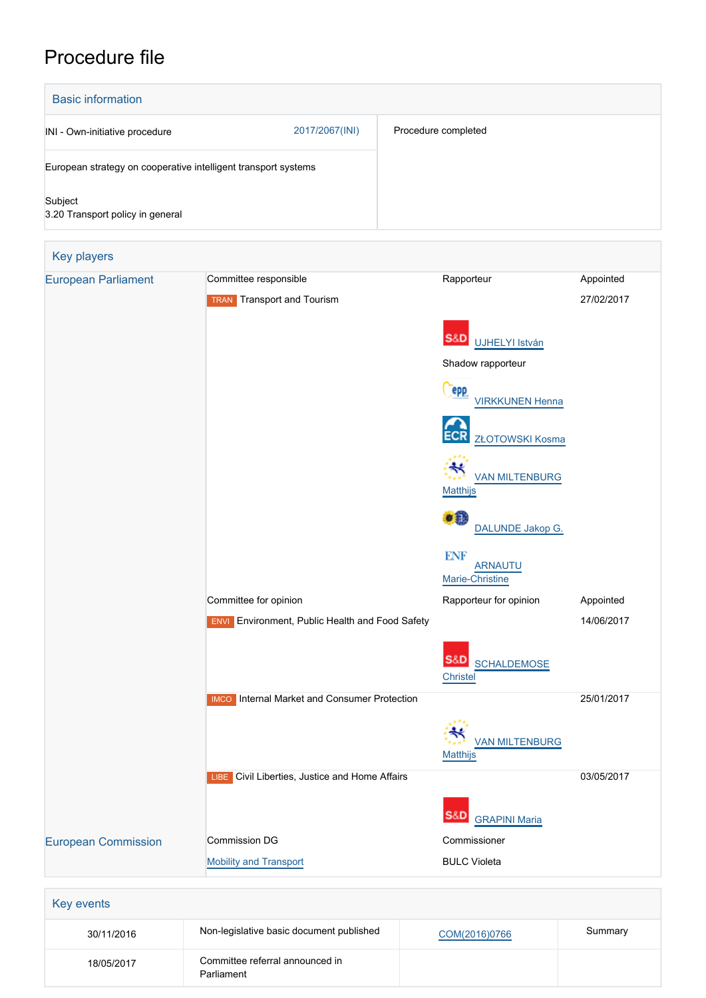# Procedure file



| 30/11/2016 | Non-legislative basic document published      | COM(2016)0766 | Summary |
|------------|-----------------------------------------------|---------------|---------|
| 18/05/2017 | Committee referral announced in<br>Parliament |               |         |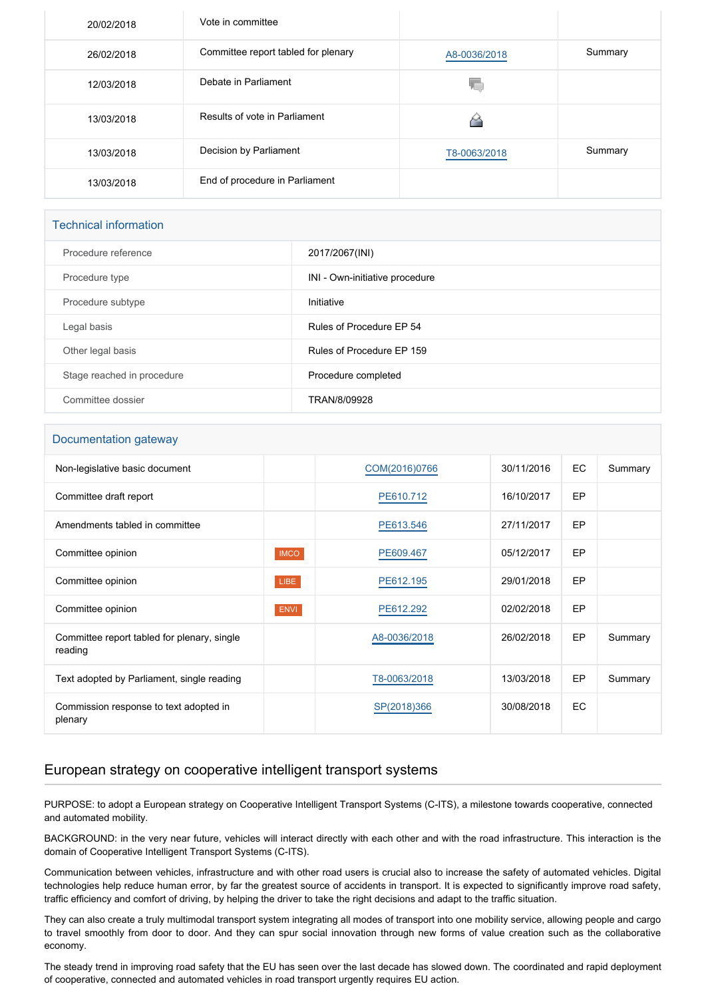| 20/02/2018 | Vote in committee                   |              |         |
|------------|-------------------------------------|--------------|---------|
| 26/02/2018 | Committee report tabled for plenary | A8-0036/2018 | Summary |
| 12/03/2018 | Debate in Parliament                | YΟ           |         |
| 13/03/2018 | Results of vote in Parliament       |              |         |
| 13/03/2018 | Decision by Parliament              | T8-0063/2018 | Summary |
| 13/03/2018 | End of procedure in Parliament      |              |         |

# Technical information

| Procedure reference        | 2017/2067(INI)                 |
|----------------------------|--------------------------------|
| Procedure type             | INI - Own-initiative procedure |
| Procedure subtype          | Initiative                     |
| Legal basis                | Rules of Procedure EP 54       |
| Other legal basis          | Rules of Procedure EP 159      |
| Stage reached in procedure | Procedure completed            |
| Committee dossier          | TRAN/8/09928                   |

#### Documentation gateway

| Non-legislative basic document                         |             | COM(2016)0766 | 30/11/2016 | EC        | Summary |
|--------------------------------------------------------|-------------|---------------|------------|-----------|---------|
| Committee draft report                                 |             | PE610.712     | 16/10/2017 | EP        |         |
| Amendments tabled in committee                         |             | PE613.546     | 27/11/2017 | EP        |         |
| Committee opinion                                      | <b>IMCO</b> | PE609.467     | 05/12/2017 | <b>EP</b> |         |
| Committee opinion                                      | LIBE        | PE612.195     | 29/01/2018 | <b>EP</b> |         |
| Committee opinion                                      | <b>ENVI</b> | PE612.292     | 02/02/2018 | EP        |         |
| Committee report tabled for plenary, single<br>reading |             | A8-0036/2018  | 26/02/2018 | EP        | Summary |
| Text adopted by Parliament, single reading             |             | T8-0063/2018  | 13/03/2018 | <b>EP</b> | Summary |
| Commission response to text adopted in<br>plenary      |             | SP(2018)366   | 30/08/2018 | EC        |         |

## European strategy on cooperative intelligent transport systems

PURPOSE: to adopt a European strategy on Cooperative Intelligent Transport Systems (C-ITS), a milestone towards cooperative, connected and automated mobility.

BACKGROUND: in the very near future, vehicles will interact directly with each other and with the road infrastructure. This interaction is the domain of Cooperative Intelligent Transport Systems (C-ITS).

Communication between vehicles, infrastructure and with other road users is crucial also to increase the safety of automated vehicles. Digital technologies help reduce human error, by far the greatest source of accidents in transport. It is expected to significantly improve road safety, traffic efficiency and comfort of driving, by helping the driver to take the right decisions and adapt to the traffic situation.

They can also create a truly multimodal transport system integrating all modes of transport into one mobility service, allowing people and cargo to travel smoothly from door to door. And they can spur social innovation through new forms of value creation such as the collaborative economy.

The steady trend in improving road safety that the EU has seen over the last decade has slowed down. The coordinated and rapid deployment of cooperative, connected and automated vehicles in road transport urgently requires EU action.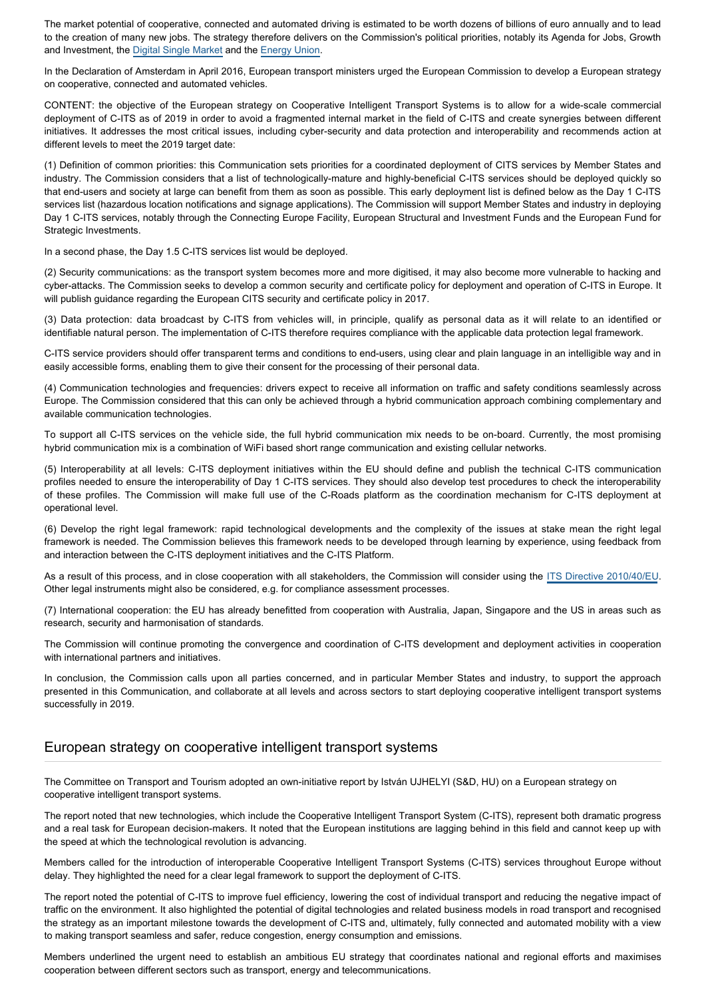The market potential of cooperative, connected and automated driving is estimated to be worth dozens of billions of euro annually and to lead to the creation of many new jobs. The strategy therefore delivers on the Commission's political priorities, notably its Agenda for Jobs, Growth and Investment, the [Digital Single Market](http://eur-lex.europa.eu/legal-content/EN/TXT/PDF/?uri=CELEX:52015DC0192&from=EN) and the [Energy Union.](http://eur-lex.europa.eu/resource.html?uri=cellar:1bd46c90-bdd4-11e4-bbe1-01aa75ed71a1.0003.03/DOC_1&format=PDF)

In the Declaration of Amsterdam in April 2016, European transport ministers urged the European Commission to develop a European strategy on cooperative, connected and automated vehicles.

CONTENT: the objective of the European strategy on Cooperative Intelligent Transport Systems is to allow for a wide-scale commercial deployment of C-ITS as of 2019 in order to avoid a fragmented internal market in the field of C-ITS and create synergies between different initiatives. It addresses the most critical issues, including cyber-security and data protection and interoperability and recommends action at different levels to meet the 2019 target date:

(1) Definition of common priorities: this Communication sets priorities for a coordinated deployment of CITS services by Member States and industry. The Commission considers that a list of technologically-mature and highly-beneficial C-ITS services should be deployed quickly so that end-users and society at large can benefit from them as soon as possible. This early deployment list is defined below as the Day 1 C-ITS services list (hazardous location notifications and signage applications). The Commission will support Member States and industry in deploying Day 1 C-ITS services, notably through the Connecting Europe Facility, European Structural and Investment Funds and the European Fund for Strategic Investments.

In a second phase, the Day 1.5 C-ITS services list would be deployed.

(2) Security communications: as the transport system becomes more and more digitised, it may also become more vulnerable to hacking and cyber-attacks. The Commission seeks to develop a common security and certificate policy for deployment and operation of C-ITS in Europe. It will publish guidance regarding the European CITS security and certificate policy in 2017.

(3) Data protection: data broadcast by C-ITS from vehicles will, in principle, qualify as personal data as it will relate to an identified or identifiable natural person. The implementation of C-ITS therefore requires compliance with the applicable data protection legal framework.

C-ITS service providers should offer transparent terms and conditions to end-users, using clear and plain language in an intelligible way and in easily accessible forms, enabling them to give their consent for the processing of their personal data.

(4) Communication technologies and frequencies: drivers expect to receive all information on traffic and safety conditions seamlessly across Europe. The Commission considered that this can only be achieved through a hybrid communication approach combining complementary and available communication technologies.

To support all C-ITS services on the vehicle side, the full hybrid communication mix needs to be on-board. Currently, the most promising hybrid communication mix is a combination of WiFi based short range communication and existing cellular networks.

(5) Interoperability at all levels: C-ITS deployment initiatives within the EU should define and publish the technical C-ITS communication profiles needed to ensure the interoperability of Day 1 C-ITS services. They should also develop test procedures to check the interoperability of these profiles. The Commission will make full use of the C-Roads platform as the coordination mechanism for C-ITS deployment at operational level.

(6) Develop the right legal framework: rapid technological developments and the complexity of the issues at stake mean the right legal framework is needed. The Commission believes this framework needs to be developed through learning by experience, using feedback from and interaction between the C-ITS deployment initiatives and the C-ITS Platform.

As a result of this process, and in close cooperation with all stakeholders, the Commission will consider using the [ITS Directive 2010/40/EU](http://eur-lex.europa.eu/legal-content/EN/TXT/PDF/?uri=CELEX:32010L0040&rid=1). Other legal instruments might also be considered, e.g. for compliance assessment processes.

(7) International cooperation: the EU has already benefitted from cooperation with Australia, Japan, Singapore and the US in areas such as research, security and harmonisation of standards.

The Commission will continue promoting the convergence and coordination of C-ITS development and deployment activities in cooperation with international partners and initiatives.

In conclusion, the Commission calls upon all parties concerned, and in particular Member States and industry, to support the approach presented in this Communication, and collaborate at all levels and across sectors to start deploying cooperative intelligent transport systems successfully in 2019.

### European strategy on cooperative intelligent transport systems

The Committee on Transport and Tourism adopted an own-initiative report by István UJHELYI (S&D, HU) on a European strategy on cooperative intelligent transport systems.

The report noted that new technologies, which include the Cooperative Intelligent Transport System (C-ITS), represent both dramatic progress and a real task for European decision-makers. It noted that the European institutions are lagging behind in this field and cannot keep up with the speed at which the technological revolution is advancing.

Members called for the introduction of interoperable Cooperative Intelligent Transport Systems (C-ITS) services throughout Europe without delay. They highlighted the need for a clear legal framework to support the deployment of C-ITS.

The report noted the potential of C-ITS to improve fuel efficiency, lowering the cost of individual transport and reducing the negative impact of traffic on the environment. It also highlighted the potential of digital technologies and related business models in road transport and recognised the strategy as an important milestone towards the development of C-ITS and, ultimately, fully connected and automated mobility with a view to making transport seamless and safer, reduce congestion, energy consumption and emissions.

Members underlined the urgent need to establish an ambitious EU strategy that coordinates national and regional efforts and maximises cooperation between different sectors such as transport, energy and telecommunications.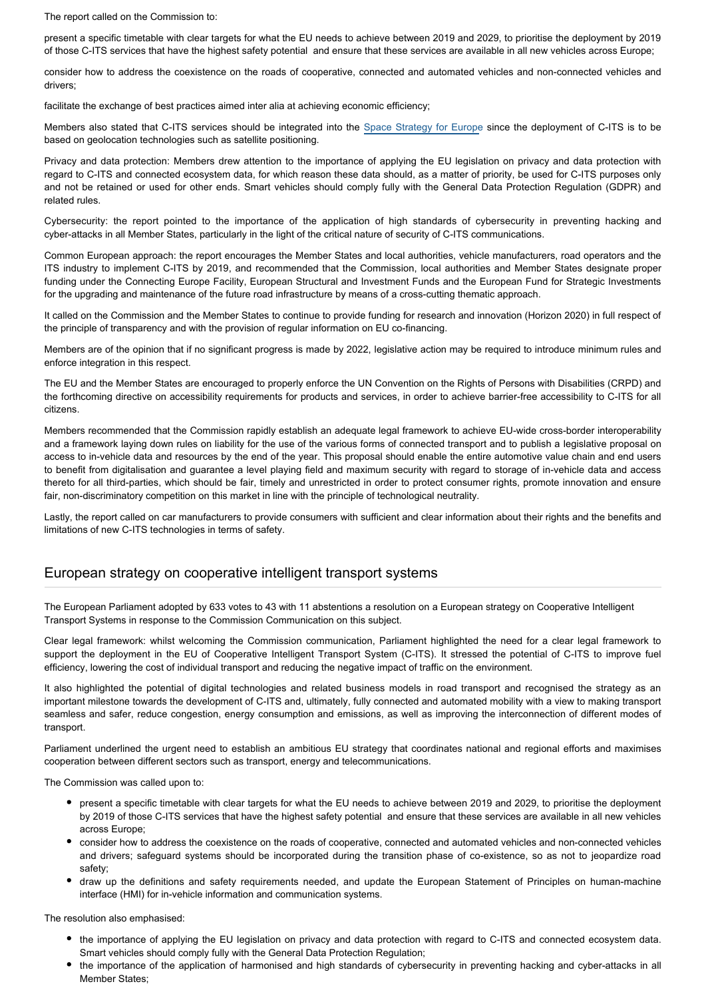The report called on the Commission to:

present a specific timetable with clear targets for what the EU needs to achieve between 2019 and 2029, to prioritise the deployment by 2019 of those C-ITS services that have the highest safety potential and ensure that these services are available in all new vehicles across Europe;

consider how to address the coexistence on the roads of cooperative, connected and automated vehicles and non-connected vehicles and drivers;

facilitate the exchange of best practices aimed inter alia at achieving economic efficiency;

Members also stated that C-ITS services should be integrated into the [Space Strategy for Europe](http://www.europarl.europa.eu/oeil/popups/ficheprocedure.do?reference=2016/2325(INI)&l=en) since the deployment of C-ITS is to be based on geolocation technologies such as satellite positioning.

Privacy and data protection: Members drew attention to the importance of applying the EU legislation on privacy and data protection with regard to C-ITS and connected ecosystem data, for which reason these data should, as a matter of priority, be used for C-ITS purposes only and not be retained or used for other ends. Smart vehicles should comply fully with the General Data Protection Regulation (GDPR) and related rules.

Cybersecurity: the report pointed to the importance of the application of high standards of cybersecurity in preventing hacking and cyber-attacks in all Member States, particularly in the light of the critical nature of security of C-ITS communications.

Common European approach: the report encourages the Member States and local authorities, vehicle manufacturers, road operators and the ITS industry to implement C-ITS by 2019, and recommended that the Commission, local authorities and Member States designate proper funding under the Connecting Europe Facility, European Structural and Investment Funds and the European Fund for Strategic Investments for the upgrading and maintenance of the future road infrastructure by means of a cross-cutting thematic approach.

It called on the Commission and the Member States to continue to provide funding for research and innovation (Horizon 2020) in full respect of the principle of transparency and with the provision of regular information on EU co-financing.

Members are of the opinion that if no significant progress is made by 2022, legislative action may be required to introduce minimum rules and enforce integration in this respect.

The EU and the Member States are encouraged to properly enforce the UN Convention on the Rights of Persons with Disabilities (CRPD) and the forthcoming directive on accessibility requirements for products and services, in order to achieve barrier-free accessibility to C-ITS for all citizens.

Members recommended that the Commission rapidly establish an adequate legal framework to achieve EU-wide cross-border interoperability and a framework laying down rules on liability for the use of the various forms of connected transport and to publish a legislative proposal on access to in-vehicle data and resources by the end of the year. This proposal should enable the entire automotive value chain and end users to benefit from digitalisation and guarantee a level playing field and maximum security with regard to storage of in-vehicle data and access thereto for all third-parties, which should be fair, timely and unrestricted in order to protect consumer rights, promote innovation and ensure fair, non-discriminatory competition on this market in line with the principle of technological neutrality.

Lastly, the report called on car manufacturers to provide consumers with sufficient and clear information about their rights and the benefits and limitations of new C-ITS technologies in terms of safety.

### European strategy on cooperative intelligent transport systems

The European Parliament adopted by 633 votes to 43 with 11 abstentions a resolution on a European strategy on Cooperative Intelligent Transport Systems in response to the Commission Communication on this subject.

Clear legal framework: whilst welcoming the Commission communication, Parliament highlighted the need for a clear legal framework to support the deployment in the EU of Cooperative Intelligent Transport System (C-ITS). It stressed the potential of C-ITS to improve fuel efficiency, lowering the cost of individual transport and reducing the negative impact of traffic on the environment.

It also highlighted the potential of digital technologies and related business models in road transport and recognised the strategy as an important milestone towards the development of C-ITS and, ultimately, fully connected and automated mobility with a view to making transport seamless and safer, reduce congestion, energy consumption and emissions, as well as improving the interconnection of different modes of transport.

Parliament underlined the urgent need to establish an ambitious EU strategy that coordinates national and regional efforts and maximises cooperation between different sectors such as transport, energy and telecommunications.

The Commission was called upon to:

- present a specific timetable with clear targets for what the EU needs to achieve between 2019 and 2029, to prioritise the deployment by 2019 of those C-ITS services that have the highest safety potential and ensure that these services are available in all new vehicles across Europe;
- consider how to address the coexistence on the roads of cooperative, connected and automated vehicles and non-connected vehicles and drivers; safeguard systems should be incorporated during the transition phase of co-existence, so as not to jeopardize road safety;
- draw up the definitions and safety requirements needed, and update the European Statement of Principles on human-machine interface (HMI) for in-vehicle information and communication systems.

The resolution also emphasised:

- the importance of applying the EU legislation on privacy and data protection with regard to C-ITS and connected ecosystem data. Smart vehicles should comply fully with the General Data Protection Regulation;
- the importance of the application of harmonised and high standards of cybersecurity in preventing hacking and cyber-attacks in all Member States;